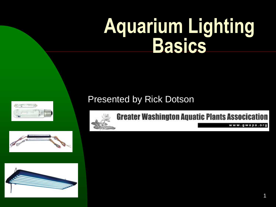# **Aquarium Lighting Basics**

### Presented by Rick Dotson







**Greater Washington Aquatic Plants Assocication** 

www.gwapa.org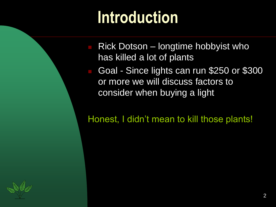### **Introduction**

- Rick Dotson longtime hobbyist who has killed a lot of plants
- Goal Since lights can run \$250 or \$300 or more we will discuss factors to consider when buying a light

Honest, I didn't mean to kill those plants!

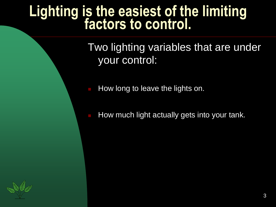### **Lighting is the easiest of the limiting factors to control.**

Two lighting variables that are under your control:

- How long to leave the lights on.
- How much light actually gets into your tank.

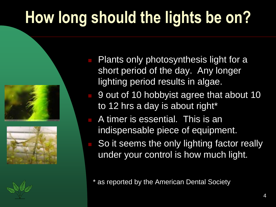### **How long should the lights be on?**





- Plants only photosynthesis light for a short period of the day. Any longer lighting period results in algae.
- 9 out of 10 hobbyist agree that about 10 to 12 hrs a day is about right\*
- A timer is essential. This is an indispensable piece of equipment.
- So it seems the only lighting factor really under your control is how much light.

\* as reported by the American Dental Society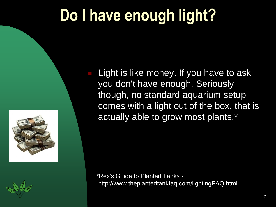### **Do I have enough light?**



 Light is like money. If you have to ask you don't have enough. Seriously though, no standard aquarium setup comes with a light out of the box, that is actually able to grow most plants.\*

\*Rex's Guide to Planted Tanks http://www.theplantedtankfaq.com/lightingFAQ.html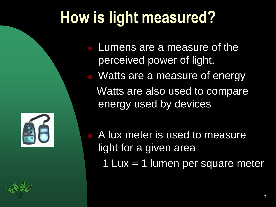### **How is light measured?**



 Lumens are a measure of the perceived power of light. Watts are a measure of energy Watts are also used to compare energy used by devices

 A lux meter is used to measure light for a given area

1 Lux = 1 lumen per square meter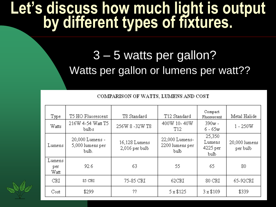### **Let's discuss how much light is output by different types of fixtures.**

### 3 – 5 watts per gallon? Watts per gallon or lumens per watt??

#### COMPARISON OF WATTS, LUMENS AND COST

| Type                  | T5 HO Fluorescent                            | T8 Standard                     | T12 Standard                              | Compact<br>Fluorescent               | Metal Halide              |
|-----------------------|----------------------------------------------|---------------------------------|-------------------------------------------|--------------------------------------|---------------------------|
| Watts                 | 216W 4-54 Watt T5<br>bulbs.                  | 256W 8-32W T8                   | 400W 10-40W<br>T12                        | $390w -$<br>$6 - 65w$                | $1 - 250W$                |
| Lumens                | 20,000 Lumens -<br>5,000 lumens per<br>bulb. | 16,128 Lumens<br>2,016 per bulb | 22,000 Lumens-<br>2200 lumens per<br>bulb | 25,350<br>Lumens<br>4225 per<br>bulb | 20,000 lumens<br>per bulb |
| Lumens<br>per<br>Watt | 92.6                                         | 63                              | 55                                        | 65                                   | 80                        |
| CRI                   | 85 CRI                                       | 75-85 CRI                       | 62CRI                                     | 80 CRI                               | 65-92CRI                  |
| Cost                  | \$299                                        | ??                              | 5 x \$125                                 | $3 \times $109$                      | \$339                     |

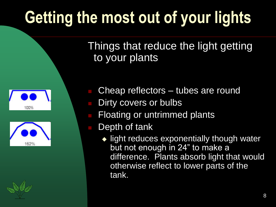## **Getting the most out of your lights**

Things that reduce the light getting to your plants





Cheap reflectors – tubes are round

- Dirty covers or bulbs
- Floating or untrimmed plants
- Depth of tank
	- light reduces exponentially though water but not enough in 24" to make a difference. Plants absorb light that would otherwise reflect to lower parts of the tank.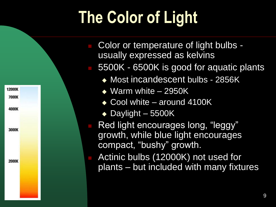# **The Color of Light**

- Color or temperature of light bulbs usually expressed as kelvins
- 5500K 6500K is good for aquatic plants
	- ◆ Most incandescent bulbs 2856K
	- ◆ Warm white 2950K
	- ◆ Cool white around 4100K
	- $\bullet$  Daylight 5500K

12000K

7000K

4000K

3000K

2000K

- Red light encourages long, "leggy" growth, while blue light encourages compact, "bushy" growth.
- Actinic bulbs (12000K) not used for plants – but included with many fixtures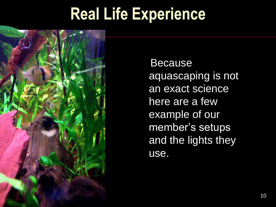### **Real Life Experience**



Because aquascaping is not an exact science here are a few example of our member's setups and the lights they use.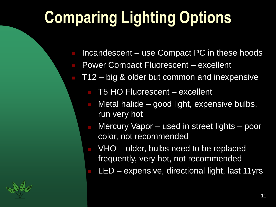## **Comparing Lighting Options**

- Incandescent use Compact PC in these hoods
- Power Compact Fluorescent excellent
	- T12 big & older but common and inexpensive
		- T5 HO Fluorescent excellent
		- Metal halide good light, expensive bulbs, run very hot
		- Mercury Vapor used in street lights poor color, not recommended
		- VHO older, bulbs need to be replaced frequently, very hot, not recommended
		- LED expensive, directional light, last 11yrs

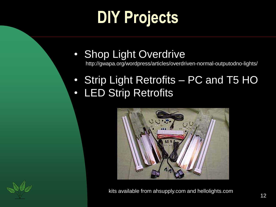### **DIY Projects**

- Shop Light Overdrive http://gwapa.org/wordpress/articles/overdriven-normal-outputodno-lights/
- Strip Light Retrofits PC and T5 HO • LED Strip Retrofits





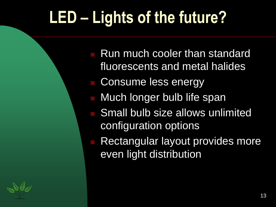### **LED – Lights of the future?**

 Run much cooler than standard fluorescents and metal halides Consume less energy Much longer bulb life span Small bulb size allows unlimited configuration options Rectangular layout provides more even light distribution

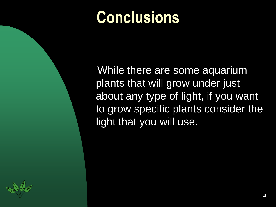### **Conclusions**

While there are some aquarium plants that will grow under just about any type of light, if you want to grow specific plants consider the light that you will use.